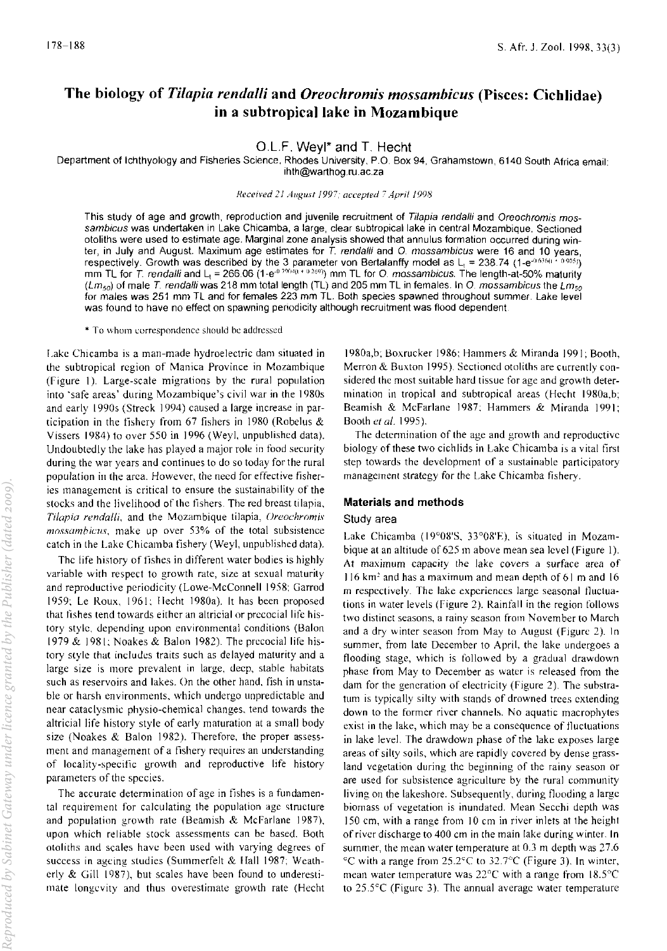# The biology of *Tilapia rendalli* and *Oreochromis mossambicus* (Pisces: Cichlidae) in a subtropical lake in Mozambique

## OLF. Weyl\* and T. Hecht

Department of Ichthyology and Fisheries Science, Rhodes University, P.O. Box 94, Grahamstown, 6140 South Africa email: ihth@warthog.ru.ac.za

### *Received* 21 *August* /997: *accepted* 7 *April 1998*

This study of age and growth, reproduction and juvenile recruitment of Tilapia rendalli and Oreochromis mossambicus was undertaken in Lake Chicamba, a large, clear subtropical lake in central Mozambique. Sectioned otoliths were used to estimate age. Marginal zone analysis showed that annulus formation occurred during winter, in July and August. Maximum age estimates for *T.* rendal/i and O. mossambicus were 16 and 10 years, respectively. Growth was described by the 3 parameter von Bertalanffy model as L $_{\rm t}$  = 238.74 (1-e<sup>-0.636()</sup> \* <sup>0.905)</sup>). mm TL for *T. rendalli* and L<sub>t</sub> = 266.06 (1-e<sup>-o 2004</sup>ll<sup>+ 0-269)</sup>) mm TL for O. *mossambicus.* The length-at-50% maturity  $(Lm_{50})$  of male T. rendalli was 218 mm total length (TL) and 205 mm TL in females. In O. mossambicus the Lms for males was 251 mm TL and for females 223 mm TL. Both species spawned throughout summer. Lake level was found to have no effect on spawning periodicity although recruitment was flood dependent

\* To whom correspondence should be addressed

I.ake Chicamba is a man-made hydroelectric dam situated in the subtropical region of Manica Province in Mozambique (Figure 1). Large-scale migrations by the rural population into 'safe areas' during Mozambique's civil war in the 1980s and early 19905 (Streck 1994) caused a large increase in participation in the fishery from 67 fishers in 1980 (Robelus  $\&$ Vissers 1984) to over 550 in 1996 (Weyl, unpublished data). Undoubtedly the lake has played a major role in food security during the war years and continues to do so today for the rural population in the area. However, the need for effective fisheries management is critical to ensure the sustainability of the stocks and the livelihood of the fishers. The red breast tilapia, *Tilapia rendalli*, and the Mozambique tilapia, *Oreochromis mossambicus,* make up over 53% of the total subsistence catch in the Lake Chicamba fishery (Weyl, unpublished data).

The life history of fishes in different water bodies is highly variable with respect to growth rate, size at sexual maturity and reproductive periodicity (Lowe-McConnell 1958; Garrod 1959; Le Roux, 1961; Hecht 1980a). It has been proposed that fishes tend towards either an altricial or precocial life history style, depending upon environmental conditions (Balon 1979 & 1981; Noakes & Balon 1982). The precocial life history style that includes traits such as delayed maturity and a large size is more prevalent in large, deep, stable habitats such as reservoirs and lakes. On the other hand, fish in unstable or harsh environments, which undergo unpredictable and near cataclysmic physio-chemical changes, tend towards the altricial life history style of early maturation at a small body size (Noakes & Balon 1982). Therefore, the proper assess· ment and management of a fishery requires an understanding of locality-specific growth and reproductive life history parameters of the species,

The accurate determination of age in fishes is a fundamental requirement for calculating the population age structure and population growth rate (Beamish & McFarlane 1987), upon which reliable stock assessments can be based, Both otoliths and scales have been used with varying degrees of success in ageing studies (Summerfelt & Hall 1987; Weatherly & Gill 1987). but scales have been found to underestimate longevity and thus overestimate growth rate (Hecht

1980a,b; Boxrucker 1986; Hammers & Miranda 1991; Booth, Merron & Buxton 1995). Sectioned otoliths are currently considered the most suitable hard tissue for age and growth determination in tropical and subtropical areas (Hecht J980a,b; Beamish & McFarlane 1987; Hammers & Miranda 1991; Booth *et al.* 1995).

The determination of the age and growth and reproductive biology' of these two cichlids in Lake Chicamba is a vital first step towards the development of a sustainable participatory management strategy for the Lake Chicamba fishery,

## Materials and methods

## Study area

Lake Chicamba (19°0S'S. 33°08'E), is situated in Mozambique at an altitude of 625 m above mean sea level (Figure 1). At maximum capacity the lake covers a surface area of 116 km2 and has a maximum and mean depth of 61 m and 16 m respectively. The lake experiences large seasonal fluctuations in water levels (Figure 2). Rainfall in the region follows two distinct seasons, a rainy season from November to March and a dry winter season from May to August (Figure 2). In summer, from late December to April. the lake undergoes a flooding stage, which is followed by a gradual drawdown phase from May to December as water is released from the dam for the generation of electricity (Figure 2). The substratum is typically silty with stands of drowned trees extending down to the former river channels. No aquatic macrophytes exist in the lake, which may be a consequence of tluctuations in lake level. The drawdown phase of the lake exposes large areas of silty soils, which are rapidly covered by dense grassland vegetation during the beginning of the rainy season or are used for subsistence agriculture by the rural community living on the lakeshore. Subsequently, during flooding a large biomass of vegetation is inundated. Mean Secchi depth was 150 em, with a range from 10 em in river inlets at the height of river discharge to 400 em in the main lake during winter. In summer, the mean water temperature at  $0.3$  m depth was  $27.6$ <sup>c</sup>C with a range from 25.2<sup>c</sup>C to 32.7<sup>o</sup>C (Figure 3). In winter, mean water temperature was 22°C with a range from 18,5"C to 25.5°C (Figure 3). The annual average water temperature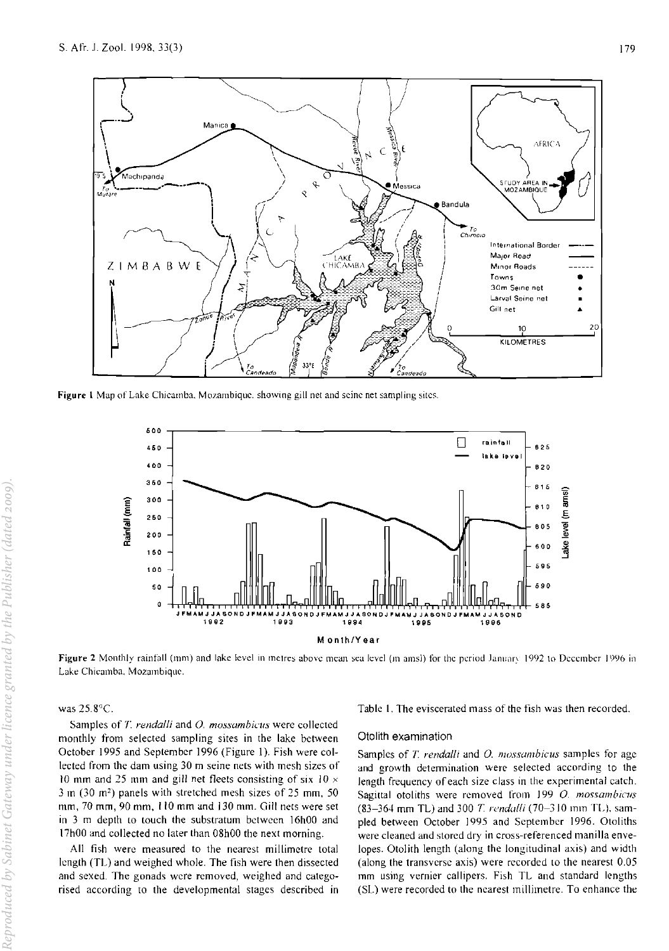

Figure 1 Map of Lake Chicamba, Mozambique. showing gill net and seine net sampling sites.



Figure 2 Monthly rainfall (mm) and lake level in metres above mean sea level (m amsl) for the period January 1992 to December 1996 in Lake Chicamba. Mozambique.

## was 25.8°C.

Samples of T. *rendalli* and *O. mossambicus* were collected monthly from selected sampling sites in the lake between October 1995 and September 1996 (Figure 1). Fish were collected from the dam using 30 m seine nets with mesh sizes of 10 mm and 25 mm and gill net fleets consisting of six 10  $\times$ 3 m (30 m') panels with stretched mesh sizes of 25 mm, 50 mm, 70 mm, 90 mm, 110 mm and 130 mm. Gill nets were set in 3 m depth to touch the substratum between 16hOO and 17hOO and collected no later than 08hOO the next morning.

All fish were measured to the nearest millimetre total length (TL) and weighed whole. The fish were then dissected and sexed. The gonads were removed, weighed and categorised according to the developmental stages described in

Table I. The eviscerated mass of the fish was then recorded.

### Otolith examination

Samples of *T rendalli* and 0. *mossombicus* samples for age and growth detennination were selected according to the length freyuency of each size class in the experimental catch. Sagittal otoliths were removed from 199 O. mossambicus (83-364 mm TL) and 300 *T. rendalli* (70-310 mm TL), sampled between October 1995 and September 1996. Otoliths were cleaned and stored dry in cross-referenced manilla envelopes. Otolith length (along the longitudinal axis) and width (along the transverse axis) were recorded to the nearest 0.05 mm using vernier callipers. Fish TL and standard lengths (SI..) were recorded to the nearest millimetre. To enhance the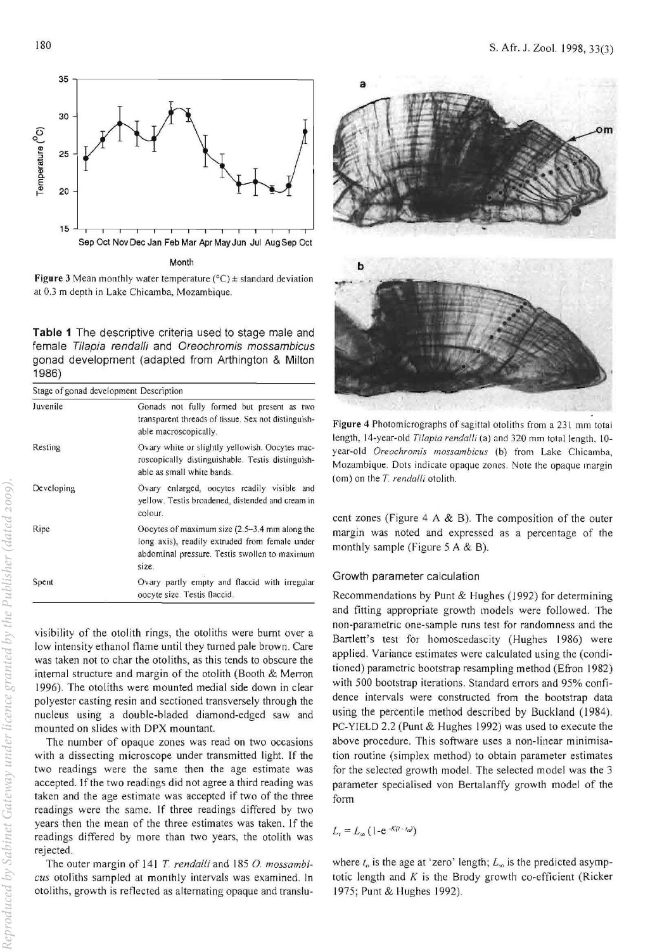

Month

Figure 3 Mean monthly water temperature ( $^{\circ}$ C)  $\pm$  standard deviation at 0.3 m depth in Lake Chicamba, Mozambique.

Table 1 The descriptive criteria used to stage male and female Tilapia rendalli and Oreochromis mossambicus gonad development (adapted from Arthington & Milton 1986)

| Stage of gonad development Description |                                                                                                                                                           |  |  |  |  |  |  |
|----------------------------------------|-----------------------------------------------------------------------------------------------------------------------------------------------------------|--|--|--|--|--|--|
| Juvenile                               | Gonads not fully formed but present as two<br>transparent threads of tissue. Sex not distinguish-<br>able macroscopically.                                |  |  |  |  |  |  |
| Resting                                | Ovary white or slightly yellowish. Oocytes mac-<br>roscopically distinguishable. Testis distinguish-<br>able as small white bands.                        |  |  |  |  |  |  |
| Developing                             | Ovary enlarged, oocytes readily visible and<br>yellow. Testis broadened, distended and cream in<br>colour.                                                |  |  |  |  |  |  |
| Ripe                                   | Oocytes of maximum size (2.5-3.4 mm along the<br>long axis), readily extruded from female under<br>abdominal pressure. Testis swollen to maximum<br>size. |  |  |  |  |  |  |
| Spent                                  | Ovary partly empty and flaccid with irregular<br>oocyte size. Testis flaccid.                                                                             |  |  |  |  |  |  |

visibility of the otolith rings, the otoliths were burnt over a low intensity ethanol flame until they turned pale brown. Care was taken not to char the otoliths, as this tends to obscure the internal structure and margin of the otolith (Booth  $&$  Merron 1996). The otoliths were mounted medial side down in clear polyester casting resin and sectioned transversely through the nucleus using a double-bladed diamond-edged saw and mounted on slides with DPX mountant.

The number of opaque zones was read on two occasions with a dissecting microscope under transmitted light. If the two readings were the same then the age estimate was accepted. If the two readings did not agree a third reading was taken and the age estimate was accepted if two of the three readings were the same. If three readings differed by two years then the mean of the three estimates was taken. If the readings differed by more than two years, the otolith was rejected.

The outer margin of 141 *T. rendalli* and 185 0. *mossambicus* otoliths sampled at monthly intervals was examined. In otoliths, growth is reflected as alternating opaque and translu-



Figure 4 Photomicrographs of sagittal otoliths from a 231 mm total length, 14-year-old *Tilapia rendalli* (a) and 320 mm total length, 10 year-old Oreochromis mossambicus (b) from Lake Chicamba, Mozambique. Dots indicate opaque zones. Note the opaque margin (om) on the T. rendalli otolith.

cent zones (Figure 4 A  $\&$  B). The composition of the outer margin was noted and expressed as a percentage of the monthly sample (Figure 5 A & B).

## Growth parameter calculation

Recommendations by Punt & Hughes (1992) for determining and fitting appropriate growth models were followed. The non-parametric one-sample runs test for randomness and the Bartlett's test for homoscedascity (Hughes 1986) were applied, Variance estimates were calculated using the (conditioned) parametric bootstrap resampling method (Efron 1982) with 500 bootstrap iterations. Standard errors and 95% confidence intervals were constructed from the bootstrap data using the percentile method described by Buckland (1984). PC-YIELD 2.2 (Punt & Hughes 1992) was used to execute the above procedure. This software uses a non-linear minimisation routine (simplex method) to obtain parameter estimates for the selected growth mode!. The selected model was the 3 parameter specialised von Bertalanffy growth model of the form

 $L_{i} = L_{\infty} (1-e^{-K(t-t_{i})})$ 

where  $t_a$  is the age at 'zero' length;  $L_a$  is the predicted asymptotic length and  $K$  is the Brody growth co-efficient (Ricker 1975; Punt & Hughes 1992).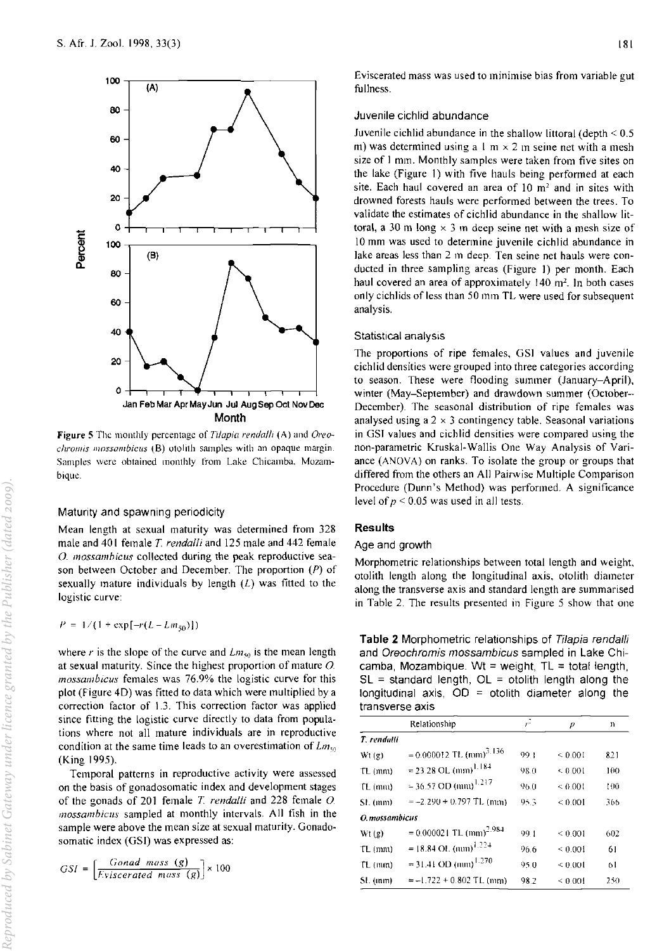

**Figure 5** The monthly percentage of *Tilapia rendalli* (A) and *Oreochromis mossambicus* (B) otolith samples with an opaque margin. Samples were obtained monthly from Lake Chicamba, Mozambique.

## Matunty and spawning periodicity

Mean length at sexual maturity was determined from 328 male and 40 I female *T rendalli* and 125 male and 442 female O. *mossambicus* collected during the peak reproductive season between October and December. The proportion (P) of sexually mature individuals by length  $(L)$  was fitted to the logistic curve:

 $P = 1/(1 + \exp[-r(L-Lm_{50})])$ 

where r is the slope of the curve and  $Lm_{50}$  is the mean length at sexual maturity. Since the highest proportion of mature *0 mossambicus* females was 76.9% the logistic curve for this plot (Figure 4D) was fitted to data which were multiplied by a correction factor of 1.3. This correction factor was applied since fitting the logistic curve directly to data from populations where not all mature individuals are in reproductive condition at the same time leads to an overestimation of  $Lm_{50}$ (King 1995).

Temporal patterns in reproductive activity were assessed on the basis of gonadosomatic index and development stages of the gonads of 201 female *T. rendalli* and 228 female *O. mossambiclls* sampled at monthly intervals. All fish in the sample were above the mean size at sexual maturity. Gonadosomatic index (GSI) was expressed as:

$$
GSI = \left[\frac{Gonad \; mass \; (g)}{Eviscerated \; mass \; (g)}\right] \times 100
$$

Eviscerated mass was used to minimise bias from variable gut fullness.

## Juvenile cichlid abundance

Juvenile cichlid abundance in the shallow littoral (depth  $\leq 0.5$ ) m) was determined using a  $1 \text{ m} \times 2 \text{ m}$  seine net with a mesh size of I mm. Monthly samples were taken from five sites on the lake (Figure I) with five hauls being performed at each site. Each haul covered an area of  $10 \text{ m}^2$  and in sites with drowned forests hauls were performed between the trees. To validate the estimates of cichlid abundance in the shallow littoral, a 30 m long  $\times$  3 m deep seine net with a mesh size of 10 mm was used to determine juvenile cichlid abundance in lake areas less than 2 m deep. Ten seine net hauls were conducted in three sampling areas (Figure I) per month. Each haul covered an area of approximately 140 m<sup>2</sup>. In both cases only cichlids of less than 50 mm TL were used for subsequent analysis.

#### Statistical analysis

The proportions of ripe females, GSI values and juvenile cichlid densities were grouped into three categories according to season. These were flooding summer (January-April), winter (May-September) and drawdown summer (October-December). The seasonal distribution of ripe females was analysed using a  $2 \times 3$  contingency table. Seasonal variations in GSJ values and cichlid densities were compared using the non-parametric Kruskal-Wallis One Way Analysis of Variance (ANOVA) on ranks. To isolate the group or groups that differed from the others an All Pairwise Multiple Comparison Procedure (Dunn's Method) was performed. A significance level of  $p \le 0.05$  was used in all tests.

## Results

#### Age and growth

Morphometric relationships between total length and weight, otolith length along the longitudinal axis, otolith diameter along the transverse axis and standard length are summarised in Table 2. The results presented in Figure 5 show that one

Table 2 Morphometric relationships of Tilapia rendalli and Oreochromis mossambicus sampled in Lake Chicamba, Mozambique. Wt = weight,  $TL = total length$ .  $SL =$  standard length,  $OL =$  otolith length along the longitudinal axis,  $OD =$  otolith diameter along the transverse axis

|               | Relationship                          | F    | р            | n   |
|---------------|---------------------------------------|------|--------------|-----|
| T. rendalli   |                                       |      |              |     |
| Wt(g)         | $= 0.000012$ TL (mm) <sup>3.136</sup> | 99-1 | ${}< 0.001$  | 821 |
| $TL$ ( $mn$ ) | $= 23.28$ OL (mm) <sup>1.184</sup>    | 98.0 | ${}< 0.001$  | 100 |
| $TL$ (mm)     | $=$ 36.57 OD (mm) <sup>1.217</sup>    | 96.0 | $\leq 0.001$ | 100 |
| SL(mm)        | $= -2.290 + 0.797$ TL (mm)            | 95.3 | ${}_{0.001}$ | 366 |
| O.mossambicus |                                       |      |              |     |
| Wt(2)         | $= 0.000021$ TL (mm) <sup>2.984</sup> | 99.1 | ${}< 0.001$  | 602 |
| $TL$ ( $mu$ ) | $= 18.84$ OL (mm) <sup>1.224</sup>    | 96.6 | ${}_{0.001}$ | 61  |
| $TL$ ( $mn$ ) | $=$ 31.41 OD (mm) <sup>1.270</sup>    | 95.0 | < 0.001      | 61  |
| SL(mm)        | $=-1.722 + 0.802$ TL (mm)             | 98.2 | ${}_{0.001}$ | 250 |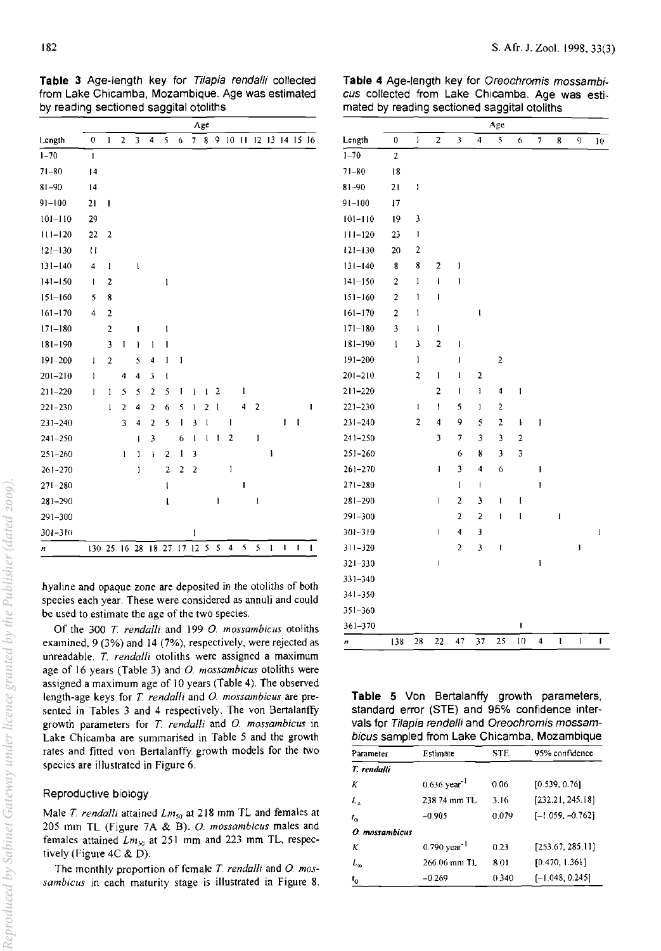Table 3 Age-length key for Tilapia rendalli collected from Lake Chicamba, Mozambique. Age was estimated by reading sectioned saggital otoliths

|             |                |                |                |                         |                          |                |                |              | Age            |              |              |              |                    |              |              |                |              |
|-------------|----------------|----------------|----------------|-------------------------|--------------------------|----------------|----------------|--------------|----------------|--------------|--------------|--------------|--------------------|--------------|--------------|----------------|--------------|
| Length      | 0              | $\mathbf{I}$   | $\overline{2}$ | 3                       | 4                        | 5              | 6              | 7            | 8              | 9            |              | 1011         |                    |              |              | 12 13 14 15 16 |              |
| $1 - 70$    | $\mathbf{I}$   |                |                |                         |                          |                |                |              |                |              |              |              |                    |              |              |                |              |
| $71 - 80$   | 4              |                |                |                         |                          |                |                |              |                |              |              |              |                    |              |              |                |              |
| $81 - 90$   | 4              |                |                |                         |                          |                |                |              |                |              |              |              |                    |              |              |                |              |
| $91 - 100$  | 21             | $\mathbf{I}$   |                |                         |                          |                |                |              |                |              |              |              |                    |              |              |                |              |
| $101 - 110$ | 29             |                |                |                         |                          |                |                |              |                |              |              |              |                    |              |              |                |              |
| $111 - 120$ | 22             | $\overline{2}$ |                |                         |                          |                |                |              |                |              |              |              |                    |              |              |                |              |
| $121 - 130$ | Ħ              |                |                |                         |                          |                |                |              |                |              |              |              |                    |              |              |                |              |
| $131 - 140$ | 4              | I              |                | l                       |                          |                |                |              |                |              |              |              |                    |              |              |                |              |
| $141 - 150$ | t              | 2              |                |                         |                          | $\mathbf{l}$   |                |              |                |              |              |              |                    |              |              |                |              |
| $151 - 160$ | 5              | 8              |                |                         |                          |                |                |              |                |              |              |              |                    |              |              |                |              |
| $161 - 170$ | $\overline{4}$ | $\overline{c}$ |                |                         |                          |                |                |              |                |              |              |              |                    |              |              |                |              |
| $171 - 180$ |                | $\overline{a}$ |                | I                       |                          | $\mathbf{1}$   |                |              |                |              |              |              |                    |              |              |                |              |
| $181 - 190$ |                | 3              | $\mathbf{I}$   | ı                       | $\mathbf{1}$             | l              |                |              |                |              |              |              |                    |              |              |                |              |
| $191 - 200$ | ı              | $\overline{2}$ |                | 5                       | 4                        | 1              | 1              |              |                |              |              |              |                    |              |              |                |              |
| $201 - 210$ | $\mathbf{I}$   |                | 4              | $\overline{\mathbf{4}}$ | $\overline{\mathbf{3}}$  | l              |                |              |                |              |              |              |                    |              |              |                |              |
| $211 - 220$ | 1              | $\mathbf{I}$   | 5              | 5                       | $\overline{2}$           | 5              | 1              | $\mathbf{l}$ | 1              | 2            |              | $\mathbf{l}$ |                    |              |              |                |              |
| $221 - 230$ |                | $\mathbf{1}$   | 2              | 4                       | $\overline{2}$           | 6              | 5              | 1            | $\overline{2}$ | $\mathbf{I}$ |              | 4            | 2                  |              |              |                | 1            |
| $231 - 240$ |                |                | 3              | 4                       | $\overline{\mathbf{c}}$  | 5              | $\mathbf{1}$   | 3            | l              |              | $\mathbf{l}$ |              |                    |              | $\mathbf{I}$ | $\mathbf{I}$   |              |
| $241 - 250$ |                |                |                | I                       | 3                        |                | 6              | $\mathbf{I}$ | $\mathbf{1}$   | $\mathbf{I}$ | 2            |              | 1                  |              |              |                |              |
| $251 - 260$ |                |                | $\mathbf{l}$   | J                       | $\overline{\phantom{a}}$ | $\overline{2}$ | $\mathbf{1}$   | 3            |                |              |              |              |                    | ł            |              |                |              |
| $261 - 270$ |                |                |                | J                       |                          | 2              | $\overline{2}$ | 2            |                |              | 1            |              |                    |              |              |                |              |
| $271 - 280$ |                |                |                |                         |                          | l              |                |              |                |              |              | ı            |                    |              |              |                |              |
| $281 - 290$ |                |                |                |                         |                          | l              |                |              |                | 1            |              |              | $\pmb{\mathsf{l}}$ |              |              |                |              |
| $291 - 300$ |                |                |                |                         |                          |                |                |              |                |              |              |              |                    |              |              |                |              |
| $301 - 310$ |                |                |                |                         |                          |                |                | 1            |                |              |              |              |                    |              |              |                |              |
| n           | 13025          |                | 16             | 28                      |                          | 18 27 17 12    |                |              | 5              | 5            | 4            | 5            | 5                  | $\mathbf{1}$ | $\mathbf{I}$ | $\mathbf{I}$   | $\mathbf{I}$ |

hyaline and opaque zone are deposited in the otoliths of both species each year. These were considered as annuli and could be used to estimate the age of the two species.

Of the *300 T rendalli* and 199 0. *mossambicus* otoliths examined, 9 (3%) and 14 (7%), respectively, were rejected as unreadable. *T. rendalli* otoliths were assigned a maximum age of 16 years (Table 3) and 0. *mossambicus* otoliths were assigned a maximum age of 10 years (Table 4). The observed length-age keys for *T. rendalli* and 0. *mossambicus* are presented in Tables 3 and 4 respectively. The von Bertalanffy growth parameters for *T. rendalli* and 0. *mossambicus* in Lake Chicamba are summarised in Table 5 and the growth rates and fitted von Bertalanffy growth models for the two species are illustrated in Figure 6.

## Reproductive biology

Male *T. rendalli* attained *Lm*<sub>50</sub> at 218 mm TL and females at 205 mm TL (Figure 7A & B). *O. mossambicus* males and females attained *Lm*<sub>50</sub> at 251 mm and 223 mm TL, respectively (Figure 4C & D).

The monthly proportion of female *T rendalli* and 0. *mos*sambicus in each maturity stage is illustrated in Figure 8.

Table 4 Age-length key for Oreochromis mossambicus collected from Lake Chicamba. Age was estimated by reading sectioned saggital otoliths

|             |                         |                         |                                                                                                                                                                                                                                                                                                                                                                                  |                         |                         | Age            |                |                         |   |              |                |
|-------------|-------------------------|-------------------------|----------------------------------------------------------------------------------------------------------------------------------------------------------------------------------------------------------------------------------------------------------------------------------------------------------------------------------------------------------------------------------|-------------------------|-------------------------|----------------|----------------|-------------------------|---|--------------|----------------|
| Length      | 0                       | 1                       | $\overline{c}$                                                                                                                                                                                                                                                                                                                                                                   | 3                       | 4                       | 5              | 6              | $\overline{7}$          | 8 | 9            | 10             |
| $1 - 70$    | $\overline{\mathbf{c}}$ |                         |                                                                                                                                                                                                                                                                                                                                                                                  |                         |                         |                |                |                         |   |              |                |
| $71 - 80$   | 18                      |                         |                                                                                                                                                                                                                                                                                                                                                                                  |                         |                         |                |                |                         |   |              |                |
| $81 - 90$   | 21                      | I                       |                                                                                                                                                                                                                                                                                                                                                                                  |                         |                         |                |                |                         |   |              |                |
| $91 - 100$  | 17                      |                         |                                                                                                                                                                                                                                                                                                                                                                                  |                         |                         |                |                |                         |   |              |                |
| 101–110     | 19                      | 3                       |                                                                                                                                                                                                                                                                                                                                                                                  |                         |                         |                |                |                         |   |              |                |
| $111 - 120$ | 23                      | I                       |                                                                                                                                                                                                                                                                                                                                                                                  |                         |                         |                |                |                         |   |              |                |
| $121 - 130$ | 20                      | $\overline{\mathbf{c}}$ |                                                                                                                                                                                                                                                                                                                                                                                  |                         |                         |                |                |                         |   |              |                |
| $131 - 140$ | 8                       | 8                       | $\overline{c}$                                                                                                                                                                                                                                                                                                                                                                   | I                       |                         |                |                |                         |   |              |                |
| $141 - 150$ | $\overline{c}$          | ı                       | $\mathbf{I}$                                                                                                                                                                                                                                                                                                                                                                     | 1                       |                         |                |                |                         |   |              |                |
| $151 - 160$ | $\overline{a}$          | ļ                       | ł                                                                                                                                                                                                                                                                                                                                                                                |                         |                         |                |                |                         |   |              |                |
| $161 - 170$ | $\overline{a}$          | 1                       |                                                                                                                                                                                                                                                                                                                                                                                  |                         | l                       |                |                |                         |   |              |                |
| $171 - 180$ | 3                       | ţ                       | l                                                                                                                                                                                                                                                                                                                                                                                |                         |                         |                |                |                         |   |              |                |
| $181 - 190$ | 1                       | з                       | $\overline{\mathbf{c}}$                                                                                                                                                                                                                                                                                                                                                          | t                       |                         |                |                |                         |   |              |                |
| 191-200     |                         | 1                       |                                                                                                                                                                                                                                                                                                                                                                                  | I                       |                         | 2              |                |                         |   |              |                |
| 201–210     |                         | 2                       | 1                                                                                                                                                                                                                                                                                                                                                                                | $\mathbf{l}$            | 2                       |                |                |                         |   |              |                |
| $211 - 220$ |                         |                         | $\overline{\mathbf{c}}$                                                                                                                                                                                                                                                                                                                                                          | I                       | I                       | 4              | I              |                         |   |              |                |
| $221 - 230$ |                         | J                       | Ī                                                                                                                                                                                                                                                                                                                                                                                | 5                       | I                       | $\overline{a}$ |                |                         |   |              |                |
| $231 - 240$ |                         | $\overline{2}$          | 4                                                                                                                                                                                                                                                                                                                                                                                | 9                       | 5                       | $\overline{2}$ | ł              | 1                       |   |              |                |
| $241 - 250$ |                         |                         | 3                                                                                                                                                                                                                                                                                                                                                                                | 7                       | 3                       | 3              | $\overline{2}$ |                         |   |              |                |
| $251 - 260$ |                         |                         |                                                                                                                                                                                                                                                                                                                                                                                  | 6                       | 8                       | 3              | 3              |                         |   |              |                |
| $261 - 270$ |                         |                         | ı                                                                                                                                                                                                                                                                                                                                                                                | 3                       | 4                       | 6              |                | ſ                       |   |              |                |
| $271 - 280$ |                         |                         |                                                                                                                                                                                                                                                                                                                                                                                  | 1                       | $\mathsf I$             |                |                | I                       |   |              |                |
| $281 - 290$ |                         |                         | I                                                                                                                                                                                                                                                                                                                                                                                | 2                       | $\overline{\mathbf{3}}$ | I              | $\mathbf{l}$   |                         |   |              |                |
| $291 - 300$ |                         |                         |                                                                                                                                                                                                                                                                                                                                                                                  | $\overline{\mathbf{c}}$ | 2                       | 1              | l              |                         | l |              |                |
| $301 - 310$ |                         |                         | I                                                                                                                                                                                                                                                                                                                                                                                | 4                       | 3                       |                |                |                         |   |              | I              |
| $311 - 320$ |                         |                         |                                                                                                                                                                                                                                                                                                                                                                                  | 2                       | 3                       | I              |                |                         |   | I            |                |
| $321 - 330$ |                         |                         | $\begin{array}{c} \rule{0pt}{2.5ex} \rule{0pt}{2.5ex} \rule{0pt}{2.5ex} \rule{0pt}{2.5ex} \rule{0pt}{2.5ex} \rule{0pt}{2.5ex} \rule{0pt}{2.5ex} \rule{0pt}{2.5ex} \rule{0pt}{2.5ex} \rule{0pt}{2.5ex} \rule{0pt}{2.5ex} \rule{0pt}{2.5ex} \rule{0pt}{2.5ex} \rule{0pt}{2.5ex} \rule{0pt}{2.5ex} \rule{0pt}{2.5ex} \rule{0pt}{2.5ex} \rule{0pt}{2.5ex} \rule{0pt}{2.5ex} \rule{0$ |                         |                         |                |                | 1                       |   |              |                |
| 331-340     |                         |                         |                                                                                                                                                                                                                                                                                                                                                                                  |                         |                         |                |                |                         |   |              |                |
| 341-350     |                         |                         |                                                                                                                                                                                                                                                                                                                                                                                  |                         |                         |                |                |                         |   |              |                |
| $351 - 360$ |                         |                         |                                                                                                                                                                                                                                                                                                                                                                                  |                         |                         |                |                |                         |   |              |                |
| $361 - 370$ |                         |                         |                                                                                                                                                                                                                                                                                                                                                                                  |                         |                         |                | ı              |                         |   |              |                |
| n           | 138                     | 28                      | 22                                                                                                                                                                                                                                                                                                                                                                               | 47                      | 37                      | 25             | 10             | $\overline{\mathbf{4}}$ | ł | $\mathbf{l}$ | $\blacksquare$ |

Table 5 Von Bertalanffy growth parameters, standard error (STE) and 95% confidence intervals for Tilapia rendalli and Oreochromis mossambicus sampled from Lake Chicamba, Mozambique

| Parameter      | Estimate                   | <b>STE</b> | 95% confidence     |
|----------------|----------------------------|------------|--------------------|
| T. rendalli    |                            |            |                    |
| К              | $0.636$ year <sup>-1</sup> | 0.06       | [0.539, 0.76]      |
| $L_{\tau}$     | 238.74 mm TL               | 3.16       | [232.21, 245.18]   |
| $l_{\alpha}$   | $-0.905$                   | 0.079      | $[-1.059, -0.762]$ |
| O. mossambicus |                            |            |                    |
| К              | $0.790$ year <sup>-1</sup> | 0.23       | [253.67, 285.11]   |
| L,             | $266.06$ mm $TL$           | 8.01       | [0.470, 1.361]     |
| $t_{o}$        | $-0.269$                   | 0.340      | $[-1.048, 0.245]$  |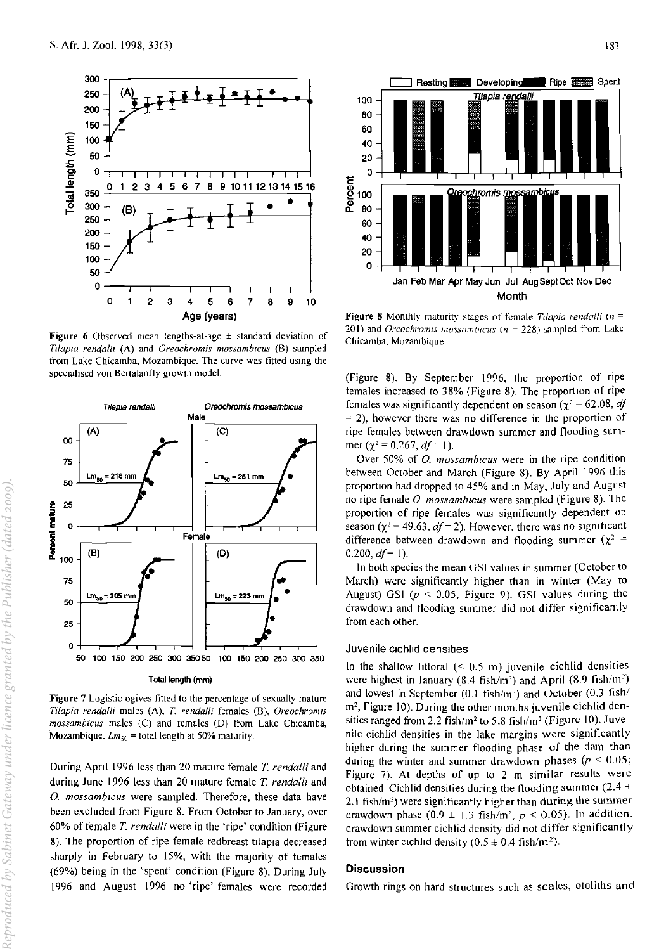

Figure 6 Observed mean lengths-at-age  $\pm$  standard deviation of *Tilapia rendaili* (A) and *Oreochromis mossambicus* (8) sampled from Lake Chicamba, Mozambique. The curve was fitted using the specialised von Bertalanffy growth model.



Figure 7 Logistic ogives fitted to the percentage of sexually mature *Tilapia rendalli* males (A), *T. rendalli* females (8), *Oreochromis mossambicus* males (C) and females (D) from Lake Chicamba, Mozambique. *Lmso* = total length at 50% maturity.

During April 1996 less than 20 mature female *T rendalli* and during June 1996 less than 20 mature female *T rendalli* and 0. *mossambicus* were sampled. Therefore, these data have been excluded from Figure 8. From October to January, over 60% of female *T rendalli* were in the 'ripe' condition (Figure 8). The proportion of ripe female redbreast tilapia decreased sharply in February to IS%, with the majority of females (69%) being in the 'spent' condition (Figure 8). During July 1996 and August 1996 no 'ripe' females were recorded



**Figure 8** Monthly maturity stages of female *Tilapia rendalli*  $(n = 1)$ 20 I) and *Oreochromis mossumbicus (n* = 228) sampled from Lake Chicamba. Mozambique.

(Figure 8). By September 1996, the proportion of ripe females increased to 38% (Figure 8). The proportion of ripe females was significantly dependent on season ( $\chi^2$  = 62.08, *df*  $=$  2), however there was no difference in the proportion of ripe females between drawdown summer and flooding sum~ mer ( $\chi^2$  = 0.267, *df* = 1).

Over 50% of *O. mossambicus* were in the ripe condition between October and March (Figure 8). By April 1996 this proportion had dropped to 4S% and in May, July and August no ripe female O. *mossambicus* were sampled (Figure 8). The proportion of ripe females was significantly dependent on season ( $\chi^2$  = 49.63,  $df$  = 2). However, there was no significant difference between drawdown and flooding summer ( $\chi^2$  =  $0.200, df = 1$ ).

In both species the mean GSI values in summer (October to March) were significantly higher than in winter (May to August) GS1  $(p < 0.05$ ; Figure 9). GSI values during the drawdown and flooding summer did not differ significantly from each other.

### Juvenile cichlid densities

In the shallow littoral  $(6.5 \text{ m})$  juvenile cichlid densities were highest in January (8.4 fish/m<sup>2</sup>) and April (8.9 fish/m<sup>2</sup>) and lowest in September  $(0.1 \text{ fish/m}^2)$  and October  $(0.3 \text{ fish}/1)$ m<sup>2</sup>; Figure 10). During the other months juvenile cichlid densities ranged from 2.2 fish/m' to S.8 fish/m' (Figure 10). Juvenile cichlid densities in the lake margins were significantly higher during the summer flooding phase of the dam than during the winter and summer drawdown phases  $(p \leq 0.05)$ ; Figure 7). At depths of up to 2 m similar results were obtained. Cichlid densities during the flooding summer ( $2.4 \pm$ 2.1 fish/m<sup>2</sup>) were significantly higher than during the summer drawdown phase  $(0.9 \pm 1.3 \text{ fish/m}^2$ ;  $p < 0.05$ ). In addition, drawdown summer cichlid density did not differ significantly from winter cichlid density  $(0.5 \pm 0.4 \text{ fish/m}^2)$ .

## **Discussion**

Growth rings on hard structures such as scales, otoliths and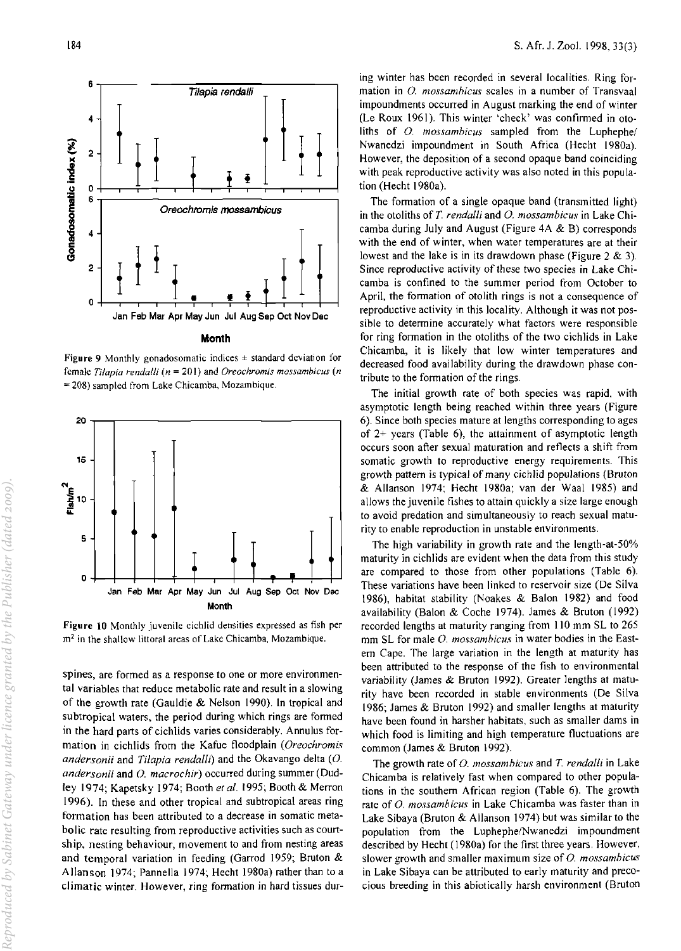

#### **Month**

**Figure 9** Monthly gonadosomatic indices  $\pm$  standard deviation for **female** *Tilapia rendalli (n* **= 201) and** *Oreochromls mossambicus (n*  **= 208) sampled from Lake Chicarnba, Mozambique.** 



**Figure 10 Monthly juvenile cichlid densities expressed as fish per m2 in the shallow littoral areas of Lake Chicamba, Mozambique.** 

**spines, are formed as a response to one or more environmen**tal variables that reduce metabolic rate and result in a slowing of the growth rate (Gauldie & Nelson 1990). In tropical and subtropical waters, the period during which rings are formed in the hard parts of cichlids varies considerably. Annulus formation in cichlids from the Kafue floodplain *(Oreochromis andersonii* and *Tilapia rendalli*) and the Okavango delta (O. andersonii and O. macrochir) occurred during summer (Dudley 1974; Kapetsky 1974; Booth el *al.* 1995; Booth & Merron 1996). In these and other tropical and subtropical areas ring **formation has been attributed to a decrease in somatic metabolic rate resulting from reproductive activities such as courtship, nesting behaviour, movement to and from nesting areas**  and temporal variation in feeding (Garrod 1959; Bruton & Allanson 1974; Pannella 1974; Hecht 1980a) rather than to a **climatic winter. However, ring fonnation in hard tissues dur-** **ing winter has been recorded in several localities. Ring formation in** *0. mossamhicus* **scales in a number of Transvaal**  impoundments occurred in August marking the end of winter (Le Roux 1961). This winter 'check' was confirmed in otoliths of 0. *mossamhicus* sampled from the Luphephe/ Nwanedzi impoundment in South Africa (Hecht 1980a). However, the deposition of a second opaque band coinciding with peak reproductive activity was also noted in this population (Hecht 1980a).

The formation of a single opaque band (transmitted light) in the otoliths of T. *rendalli* and *O. mossambicus* in Lake Chicamba during July and August (Figure 4A & B) corresponds **with the end of winter, when water temperatures are at their**  lowest and the lake is in its drawdown phase (Figure 2 & 3). Since reproductive activity of these two species in Lake Chicamba is confined to the summer period from October to April, the formation of otolith rings is not a consequence of reproductive activity in this locality. Although it was not pos**sible to determine accurately what factors were responsible**  for ring formation in the otoliths of the two cichlids in Lake Chicamba, it is likely that low winter temperatures and decreased food availability during the drawdown phase contribute to the formation of the rings.

The initial growth rate of both species was rapid, with asymptotic length being reached within three years (Figure 6). Since both species mature at lengths corresponding to ages of 2+ years (Table 6), the attainment of asymptotic length **occurs soon after sexual maturation and reflects a shift from somatic growth to reproductive energy requirements. This**  growth pattern is typical of many cichlid populations (Bruton & Allanson 1974; Hecht 1980a; van der Waal 1985) and allows the juvenile fishes to attain quickly a size large enough **to avoid predation and simultaneously to reach sexual maturity to enable reproduction in unstable environments.** 

The high variability in growth rate and the length-at-50% maturity in cichlids are evident when the data from this study are compared to those from other populations (Table 6). These variations have been linked to reservoir size (De Silva 1986), habitat stability (Noakes & Balon 1982) and food availability (Balon & Coche 1974). James & Bruton (1992) recorded lengths at maturity ranging from 110 mm SL to 265 mm SL for male *O. mossambicus* in water bodies in the Eastern Cape. The large variation in the length at maturity has been attributed to the response of the fish to environmental variability (James & Bruton 1992). Greater lengths at maturity have been recorded in stable environments (De Silva 1986; James & Bruton 1992) and smaller lengths at maturity have been found in harsher habitats, such as smaller dams in which food is limiting and high temperature fluctuations are common (James & Bruton 1992).

The growth rate of 0. *mossamhicus* and *T rendalli* in Lake Chicamba is relatively fast when compared to other populations in the southern African region (Table 6). The growth **rate of** *0. mossambicus* **in Lake Chicamba was faster than in**  Lake Sibaya (Bruton & Allanson 1974) but was similar to the population from the Luphephe/Nwanedzi impoundment described by Hecht (1980a) for the first three years. However, **slower growth and smaller maximum size of 0.** *rnossarnhicus*  in Lake Sibaya can be attributed to early maturity and precocious breeding in this abiotically harsh environment (Bruton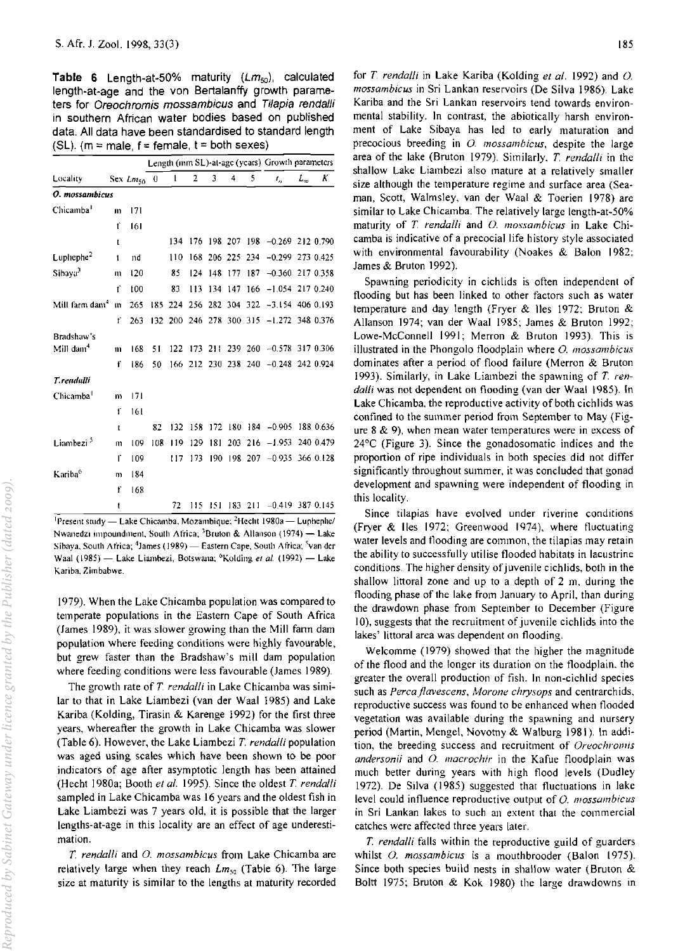**Table 6** Length-at-50% maturity  $(Lm_{50})$ , calculated length-at-age and the von Bertalanffy growth parameters for Oreochromis mossambicus and Tilapia rendalli in southern African water bodies based on published data. All data have been standardised to standard length (SL). ( $m = male$ ,  $f = female$ ,  $t = both$  sexes)

|                            |                |               |          |     |                         |                 |     |     | Length (mm SL)-at-age (years) Growth parameters |       |           |
|----------------------------|----------------|---------------|----------|-----|-------------------------|-----------------|-----|-----|-------------------------------------------------|-------|-----------|
| Locality                   |                | Sex $Lm_{50}$ | $\theta$ | 1   | $\overline{2}$          | 3               | 4   | 5   | τ,                                              | $L_m$ | Κ         |
| O. mossambicus             |                |               |          |     |                         |                 |     |     |                                                 |       |           |
| Chicamba <sup>1</sup>      | m              | 171           |          |     |                         |                 |     |     |                                                 |       |           |
|                            | ť              | 161           |          |     |                         |                 |     |     |                                                 |       |           |
|                            | $\mathbf{t}$   |               |          | 134 |                         |                 |     |     | 176 198 207 198 -0.269 212 0.790                |       |           |
| Luphephe <sup>2</sup>      | t              | nd            |          | 110 |                         | 168 206 225 234 |     |     | $-0.299$ 273 0.425                              |       |           |
| Sibaya <sup>3</sup>        | m              | 120           |          | 85  | 124                     | 148             | 177 | 187 | $-0.360$                                        |       | 217 0.358 |
|                            | ť              | 100           |          | 83  | 113                     | 134             | 147 | 166 | $-1.054$ 217 0.240                              |       |           |
| Mill tarm dam <sup>4</sup> | $\mathfrak{m}$ | 265           | 185      | 224 |                         | 256 282 304 322 |     |     | $-3.154$ 406 0.193                              |       |           |
|                            | f              | 263           |          |     | 132 200 246 278 300 315 |                 |     |     | $-1.272$ 348 0.376                              |       |           |
| Bradshaw's                 |                |               |          |     |                         |                 |     |     |                                                 |       |           |
| Mill dam <sup>4</sup>      | m              | 168           | 51       | 122 |                         |                 |     |     | 173 211 239 260 -0.578 317 0.306                |       |           |
|                            | f              | 186           | 50       |     |                         |                 |     |     | 166 212 230 238 240 -0.248 242 0.924            |       |           |
| T. rendalli                |                |               |          |     |                         |                 |     |     |                                                 |       |           |
| Chicamba <sup>1</sup>      | m              | 171           |          |     |                         |                 |     |     |                                                 |       |           |
|                            | ť              | 161           |          |     |                         |                 |     |     |                                                 |       |           |
|                            | t              |               | 82       | 132 | 158                     | 172             | 180 |     | $184 - 0.905$                                   |       | 188 0.636 |
| Liambezi <sup>5</sup>      | m              | 109           | 108      | 119 | 129                     | 181             | 203 | 216 | $-1.953$                                        |       | 240 0.479 |
|                            | f              | 109           |          | 117 | 173                     | 190             | 198 | 207 | $-0.935$ 366 0.128                              |       |           |
| Kariba <sup>6</sup>        | m              | 184           |          |     |                         |                 |     |     |                                                 |       |           |
|                            | f              | 168           |          |     |                         |                 |     |     |                                                 |       |           |
|                            | t              |               |          | 72  | 115                     | 151             | 183 | 211 | $-0.419$ 387 0.145                              |       |           |

**IPresent study — Lake Chicamba, Mozambique: <sup>2</sup>Hecht <b>1980a** — Luphephe/ **Nwanedzi impoundment, South Africa; <sup>3</sup>Bruton & Allanson (1974) -- Lake** Sibaya, South Africa; <sup>4</sup>James (1989) - Eastern Cape, South Africa; <sup>5</sup>van der **Waal (1985) - Lake Liambezi, Botswana: 6Kolding ef al. (1992) - Lake**  Kariba, Zimbabwe.

1979). When the Lake Chicamba population was compared to temperate populations in the Eastern Cape of South Africa (James 1989), it was slower growing than the Mill fann dam **population where feeding conditions were highly favourable,**  but grew faster than the Bradshaw's mill dam population where feeding conditions were less favourable (James 1989).

The growth rate of *T. rendalli* in Lake Chicamba was similar to that in Lake Liambezi (van der Waal 1985) and Lake Kariba (Kolding, Tirasin & Karenge 1992) for the first three years, whereafter the growth in Lake Chicamba was slower (Table 6). However, the Lake Liambezi *T. rendalli* population **was aged using scales which have been shown to be poor**  indicators of age after asymptotic length has been attained (Hecht 1980a; Booth *ef al.* 1995). Since the oldest *T. rendalli*  sampled in Lake Chicamba was 16 years and the oldest fish in Lake Liambezi was 7 years old, it is possible that the larger lengths-at-age in this locality are an effect of age underesti**mation.** 

*T. rendalli* and 0. *mossambicus* from Lake Chicamba are relatively large when they reach *Lm<sub>50</sub>* (Table 6). The large size at maturity is similar to the lengths at maturity recorded

for *T. rendalli* in Lake Kariba (Kolding *ef al.* 1992) and 0. *mossambicus* in Sri Lankan reservoirs (De Silva 1986). Lake **Kariba and the Sri Lankan reservoirs tend towards environ**mental stability. In contrast, the abiotically harsh environment of Lake Sibaya has led to early maturation and precocious breeding in *O. mossambicus*, despite the large area of the lake (Bruton 1979). Similarly, *T. rendalli* in the shallow Lake Liambezi also mature at a relatively smaller **size although the temperature regime and surface area (Sea**man, Scott, Walmsley. van der Waal & Toerien 1978) are similar to Lake Chicamba. The relatively large length-at-50% maturity of *T. rendalli* and 0. *mossambicus* in Lake Chicamba is indicative of a precocial life history style associated with environmental favourability (Noakes & Balon 1982: James & Bruton 1992).

Spawning periodicity in cichlids is often independent of flooding but has been linked to other factors such as water temperature and day length (Fryer & lies 1972; Bruton & Allanson 1974; van der Waal 1985; James & Bruton 1992; Lowe-McConnell 1991: Merron & Bruton 1993). This is **illustrated in the Phongoio floodplain where 0.** *mossombicus*  dominates after a period of flood failure (Merron & Bruton 1993). Similarly, in Lake Liambezi the spawning of *T. ren*dalli was not dependent on flooding (van der Waal 1985). In Lake Chicamba, the reproductive activity of both cichlids was confined to the summer period from September to May (Fig**ure 8 & 9), when mean water temperatures were in excess of**  24°C (Figure 3). Since the gonadosomatic indices and the proportion of ripe individuals in both species did not differ **significantly throughout summer, it was concluded that gonad development and spawning were independent of flooding in**  this locality.

**Since tilapias have evolved under riverine conditions**  (Fryer & lies 1972; Greenwood 1974), where fluctuating **water levels and flooding are common, the tilapias may retain**  the ability to successfully utilise flooded habitats in lacustrine conditions. The higher density of juvenile cichlids, both in the shallow littoral zone and up to a depth of 2 m, during the flooding phase of the lake from January to April, than during the drawdown phase from September to December (Figure 10), suggests that the recruitment of juvenile cichlids into the **lakes' littoral area was dependent on flooding.** 

Welcomme (1979) showed that the higher the magnitude of the flood and the longer its duration on the floodplain. the greater the overall production of fish. In non-cichlid species **such as** *Percajlavescens, Morone chrysops* **and centrarchids, reproductive success was found to be enhanced when flooded vegetation was available during the spawning and nursery**  period (Martin, Mengel, Novotny & Walburg 1981). In addi**tion, the breeding success and recruitment of** *Oreochromis andersonii* and *O. macrochir* in the Kafue floodplain was much better during years with high flood levels (Dudley 1972). De Silva (1985) suggested that fluctuations in lake **level could influence reproductive output of O.** *l1Iossambicus*  **in Sri Lankan lakes to such an extent that the commercial**  catches were affected three years later.

*T. rendalli* falls within the reproductive guild of guarders whilst O. mossambicus is a mouthbrooder (Balon 1975). Since both species build nests in shallow water (Bruton & Boltt 1975; Bruton & Kok 1980) the large drawdowns in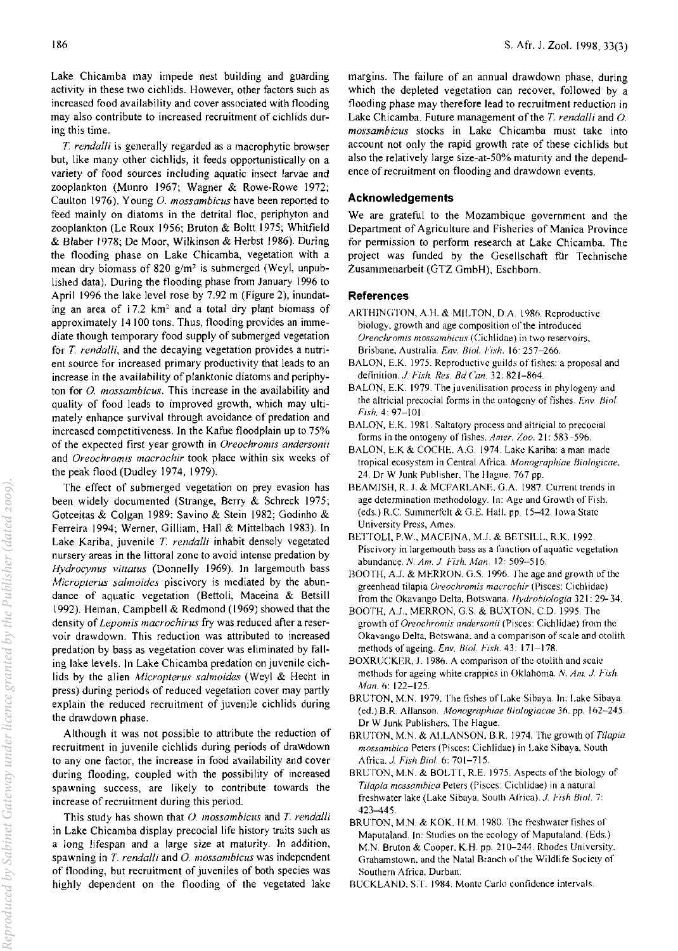Lake Chicamba may impede nest building and guarding activity in these two cichlids. However, other factors such as increased food availability and cover associated with flooding may also contribute to increased recruitment of cichlids during this time.

*T. rendalli* is generally regarded as a macrophytic browser but, like many other cichlids, it feeds opportunistically on a variety of food sources including aquatic insect larvae and zooplankton (Munro 1967; Wagner & Rowe-Rowe 1972; Caulton 1976). Young 0. *mossambicus* have been reported to feed mainly on diatoms in the detrital floc, periphyton and zooplankton (Le Roux 1956; Bruton & Boltt 1975; Whitfield & Blaber 1978; De Moor, Wilkinson & Herbst 1986). During the flooding phase on Lake Chicamba, vegetation with a mean dry biomass of 820 *g/m'* is submerged (Weyl, unpublished data). During the flooding phase from January 1996 to April 1996 the lake level rose by 7.92 m (Figure 2), inundating an area of 17.2 km' and a total dry plant biomass of approximately 14100 tons. Thus, flooding provides an immediate though temporary food supply of submerged vegetation for *T. rendalli,* and the decaying vegetation provides a nutrient source for increased primary productivity that leads to an increase in the availability of planktonic diatoms and periphyton for 0. *mossambicus.* This increase in the availability and quality of food leads to improved growth, which may ultimately enhance survival through avoidance of predation and increased competitiveness. In the Kafue floodplain up to 75% of the expected first year growth in *Oreochromis andersonii*  and *Oreochromis macrochir* took place within six weeks of the peak flood (Dudley 1974, 1979).

The effect of submerged vegetation on prey evasion has been widely documented (Strange, Berry & Schreck 1975; Gotceitas & Colgan 1989; Savino & Stein 1982; Godinho & Ferreira 1994; Werner, Gilliam, Hall & Mittelbach 1983). In Lake Kariba, juvenile *T. rendalli* inhabit densely vegetated nursery areas in the littoral zone to avoid intense predation by *Hydrocynus vitlatus* (Donnelly 1969). In largemouth bass *Microplerus sa/moides* piscivory is mediated by the abundance of aquatic vegetation (Bettoli, Maceina & Betsill 1992). Heman, Campbell & Redmond (1969) showed that the density of *Lepomis macrochirus* fry was reduced after a reservoir drawdown. This reduction was attributed to increased predation by bass as vegetation cover was eliminated by falling lake levels. In Lake Chicamba predation on juvenile cichlids by the alien *Micrapterus sa/maides* (Weyl & Hecht in press) during periods of reduced vegetation cover may partly explain the reduced recruitment of juvenile cichlids during the drawdown phase.

Although it was not possible to attribute the reduction of recruitment in juvenile cichlids during periods of drawdown to anyone factor, the increase in food availability and cover during flooding, coupled with the possibility of increased spawning success, are likely to contribute towards the increase of recruitment during this period.

This study has shown that 0. *mossambicus* and *T. rendalli*  in Lake Chicamba display precocial life history traits such as a long lifespan and a large size at maturity. In addition, spawning in *T. rendalli* and 0. *mossambicus* was independent of flooding, but recruitment of juveniles of both species was highly dependent on the flooding of the vegetated lake margins. The failure of an annual drawdown phase, during which the depleted vegetation can recover, followed by a flooding phase may therefore lead to recruitment reduction in Lake Chicamba. Future management of the *T. rendalli* and 0. *mossambicus* stocks in Lake Chicamba must take into account not only the rapid growth rate of these cichlids but also the relatively large size-at-50% maturity and the dependence of recruitment on flooding and drawdown events.

## Acknowledgements

We are grateful to the Mozambique government and the Department of Agriculture and Fisheries of Manica Province for permission to perform research at Lake Chicamba. The project was funded by the Gesellschaft für Technische Zusammenarbeit (GTZ GmbH), Eschborn.

## References

- ARTHINGTON, A.H. & MILTON, D.A. 1986. Reproductive biology, growth and age composition of the introduced *Oreochromis mossamhiclis* (Cichlidae) in two reservoirs, Brisbane, Australia. *Env. BioI. Fish.* 16: 257-266.
- BALON, E.K. 1975. Reproductive guilds of fishes: a proposal and definition. J *Fish. Res. Bd Can.* 32. 821-864.
- BALON, E.K. 1979. The juvenilisation process in phylogeny and the altricial precocial forms in the ontogeny of fishes. *Fny. Biol. Fish.* 4: 97-101.
- BALON, E.K. 1981. Saltatory process and altricial to precocial forms in the ontogeny of fishes. *Amer. Zoo.* 21: 583-596.
- BALON, E.K & COCHE. A.G. 1974. Lake Kariba: a man made tropical ecosystem in Central Africa. *Monographiae Biologicae*, 24. Dr W Junk Publisher, The Hague. 767 pp.
- BEAMISH, R. J. & MCFARLANE, G.A. 1987. Current trends in age determination methodology. In: Age and Growth of Fish. (eds.) R.C. Summerfelt & G.E. Hall. pp. 15-42. Iowa State University Press, Ames.
- BETTOLI, P.W., MACEINA, M.J. & BETSILL, R.K. 1992. Piscivory in largemouth bass as a function of aquatic vegetation abundance. N. Am. J. Fish. Man. 12: 509-516.
- BOOTH, A.J. & MERRON. G.S. 1996. The age and growth of the greenhead tilapia *Oreochromis macrochir* (Pisces: Cichlidac) from the Okavango Delta, Botswana. *lIydrohioiogia* 32 I: 29- 34.
- BOOTH, A.J., MERRON, G.S. & BUXTON, C.D. 1995. The growth of *Oreochromis andersonii* (Pisces: Cichlidae) from the Okavango Delta, Botswana, and a comparison of scale and otolith methods of ageing. *Env. Bioi. Fish.* 43: 171-178.
- BOXRUCKER, J. 1986. A comparison of the otolith and scale methods for ageing white crappies in Oklahoma. N. *Am. J. Fish. Man.* 6: 122-125.
- BRUTON, M.N. 1979. The fishes of Lake Sibaya. In: Lake Sibaya. (ed.) B.R Allanson. *Monographiae Bioiogiacae* 30. pp. 102-245. Dr W Junk Publishers, The Hague.
- BRUTON, M.N. & ALLANSON, B.R. 1974. The growth of *Tilapia mossambica* Peters (Pisces: Cichlidae) in Lake Sibaya, South Africa. J. *Fish BinI.* 6: 701-715.
- BRUTON, M.N. & BOLTT, R.E. 1975. Aspects of the biology of *Tilapia mossambica* Peters (Pisces: Cichlidae) in a natural freshwater lake (Lake Sibaya. South Africa). J. *Fish Bio!.* 7: 423-445.
- BRUTON, M.N. & KOK, H.M. 1980. The freshwater fishes of Maputaland. In: Studies on the ecology of Maputaland. (Eds.) M.N. Bruton & Cooper. K.H. pp. 210-244. Rhodes University. Grahamstown, and the Natal Branch of the Wildlife Society of Southern Africa, Durban.
- BL'CKLAND. ST. 1984. Monte Carlo contidence intervals.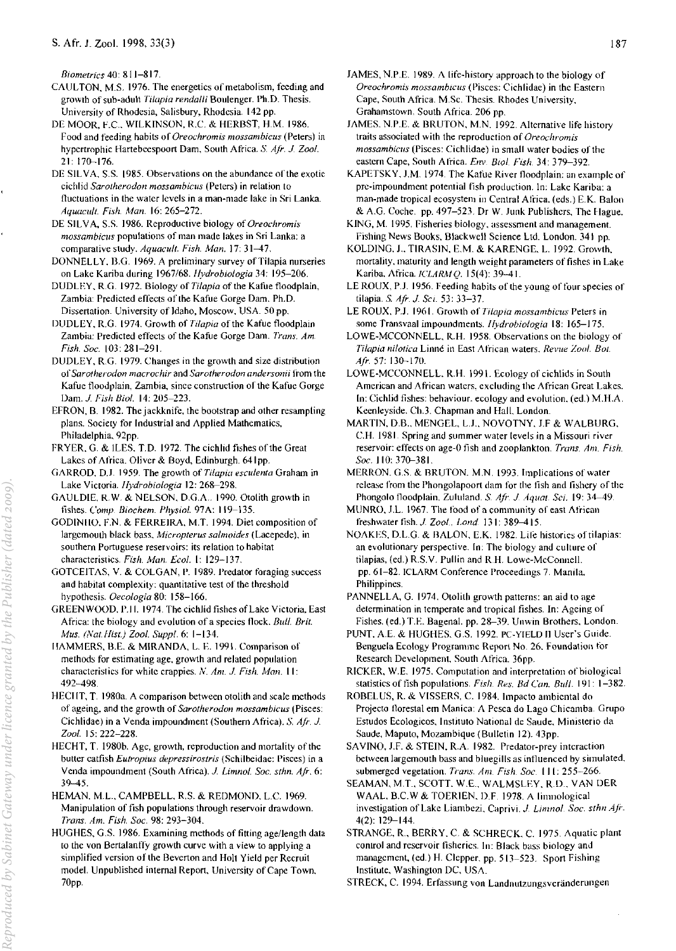*Biometrics* 40: 811-817.

- CAULTON. M.S. 1976. The energetics of metabolism, feeding and growth of sub-adult *Tilapia rendaili* Boulenger. Ph.D. Thesis. University of Rhodesia, Salisbury. Rhodesia. 142 pp.
- DE MOOR, F.C., WILKINSON, R.C. & HERBST, H.M. 1986. Food and feeding habits of *Oreochromis mossambicus* (Peters) in hypertrophic Hartebeespoort Dam. South Africa. *S. Afr.* J *Zool.*  21: 170-176.
- DE SILVA, S.S. 1985. Observations on the abundance of the exotic cichlid *Sarotherodon mossambicus* (Peters) in relation to fluctuations in the water levels in a man-made lake in Sri Lanka. *Aquacllit. Fish. Man.* 16: 265-272.
- DE SILVA, S.S. 1986. Reproductive biology of *Oreochromis mossambicus* populations of man made lakes in Sri Lanka: a comparative study. *Aquacult. Fish. Man.* 17: 31-47.
- DONNELLY, B.G. 1969. A preliminary survey of Tilapia nurseries on Lake Kariba during *1967/68.lfydrobiologia* 34: 195-206.
- DUDLEY. R.G. 1972. Biology of *Tilapia* of the Kafue floodplain, Zambia: Predicted effects of the Kafue Gorge Dam. Ph.D. Dissertation. University of Idaho, Moscow. USA. 50 pp.
- DUDLEY, R.G. 1974. Growth of *Tilapia* of the Kafue floodplain Zambia: Predicted effects of the Kafue Gorge Dam. Trans. Am. *Fish. Soc.* 103: 281-291.
- DUDLEY, R.G. 1979. Changes in the growth and size distribution of *Sa rothe rod on macrochir* and *Sarotherodon andersonii* from the Kafue floodplain, Zambia, since construction of the Kafue Gorge Dam. 1. *Fish Bioi.* 14: 205-223.
- EFRON, B. 1982. The jackknife. the bootstrap and other resampling plans. Society for Industrial and Applied Mathematics, Philadelphia. 92pp.
- FRYER, G. & ILES, T.D. 1972. The cichlid fishes of the Great Lakes of Africa. Oliver & Boyd, Edinburgh. 641 pp.
- GARROD. DJ. 1959. The growth of *Tilapia escillenta* Graham in Lake Victoria. *flydrobiologia* 12: 26&-298.
- GAULDIE. R.W. & NELSON, D.G.A .. 1990. Otolith growth in tishes. *Comp. Biochem. Physiol.* 97A: 119-135.
- GODINHO, F.N. & FERREIRA, M.T. 1994. Diet composition of largemoulh black bass. *Micropterus salmoides* (Lacepede). in southern Portuguese reservoirs: its relation to habitat characteristics. *Fish. Man. Ecol.* I: 129-137.
- GOTCEITAS, V. & COLGAN, P. 1989. Predator foraging success and habitat complexity: quantitative test of the threshold hypothesis. *Decologia* 80: 158-166.
- GREENWOOD. P.II. 1974. The cichlid fishes of Lake Victoria. East Africa: the biology and evolution of a species tlock. *Bull. Brit. Mus. (Nat.Hist.) Zool. Suppl.* 6: 1-134.
- IIAMMERS. B.E. & MIRANDA, L E. 1991. Comparison of methods for estimating age. growth and related populalion characteristics for white crappies. *N. Am. J. Fish. Man.* **11:** 492-498.

*Reproduced by Sabinet Gateway under licence granted by the Publisher (dated 2009).*Reproduced by Sabinet Gateway under licence granted by the Publisher (dated 2009).

- HECIIT, T. 1980a. A comparison between otolith and scale methods of ageing, and the growth of *Sarotherodon mossambicus* (Pisces: Cichlidae) in a Venda impoundment (Southern Africa). *S. Air. J. Zool.* 15: 222-228.
- HECHT, T. 1980b. Age, growth, reproduction and mortality of the butter catfish *Eutropius depressirostris* (Schilbeidae: Pisces) in a Venda impoundment (South Africa). 1. *Limnol. Soc. sthn. Afr.* 6: 39-45.
- HEMAN. ML, CAMPBELL, R.S. & REDMOND. LC. 1969. Manipulation of fish populations through reservoir drawdown. *Trans. Am. Fish. Soc.* 98: 293-304.
- HUGHES. G.S. 1986. Examining methods of fitting age/length data to the von Bertalanffy growth curve with a view to applying a simplified version of the Beverton and Holt Yield per Recruit model. Unpublished internal Report, University of Cape Town. 70pp.
- JAMES, N.P.E. 1989. A life-history approach to the biology of *Oreochromis mossambicus* (Pisces: Cichlidae) in the Eastern Cape. South Africa. M.Sc. Thesis. Rhodes University. Grahamstown. South Africa. 206 pp.
- JAMES. N.P.E. & BRUTON, M.N. 1992. Alternative life history traits associated with the reproduction of *Oreocitromis mossambicus* (Pisces: Cichlidae) in small water bodies of the eastern Cape, South Africa. *Env. BIOI. Fish* 34: 379-392.
- KAPETSKY, J.M. 1974. The Kafue River floodplain: an example of pre-impoundment potential fish production. In: Lake Kariba: a man-made tropical ecosystem in Central Africa. (eds.) E.K. Balon & A.G. Coche. pp. 497-523. Dr W. Junk Publishers, The Hague.
- KING. M. 1995. fisheries biology. assessment and management. Fishing News Books, Blackwell Science Ltd. London. 341 pp.
- KOLDING. J.. T1RASIN. E.M. & KARENGE. L 1992. Growth. mortality. maturity and length weight parameters of fishes in Lake Kariba. Africa. *ICLARMQ.* 15(4): 39-41.
- LE ROUX, P.J. 1956. Feeding habits of the young of four species of tilapia. S. *Afr.1. SCI.* 53: 33-37.
- LE ROUX, P.J. 1961. Growth of *Tilapia mossambicus* Peters in some Transvaal impoundments. *flydrobiologia* 18: 165-175.
- LOWE-MCCONNELL. R.H. 1958. Observations on the biology of *Tilapia nilotica* Linne in East African waters. *Revue Zoo/. Bot. Air* 57: 13<1--170.
- LOWE-MCCONNELL. R.H. 1991. Ecology of eichlids in South American and African waters. excluding the African Great Lakes. In: Cichlid fishes: behaviour. ecology and evolution. (ed.) M.H.A. Keenleyside. Ch.3. Chapman and Hall. London.
- MARTIN, D.B., MENGEL, L.J., NOVOTNY, J.F & WALBURG. C.H. 1981. Spring and summer water levels in a Missouri river reservoir: effects on age-O fish and zooplankton. *Trans. Am. Fish.*  Soc. 110: 370-381.
- MERRON. G.S. & BRUTON. M.N. 1993. Implications of water release from the Phongolapoort dam for the fish and fishery of the Phongolo floodplain. Zululand. S. Afr. J. Aquat. Sci. 19: 34-49.
- MUNRO, J.L. 1967. The food of a community of east African freshwaterfish. J. *Zool.. Lond.* 131: 389-415.
- NOAKES, D.L.G. & BALON, E.K. 1982. Life histories of tilapias: an evolutionary perspective. In: The biology and culture of tilapias, (ed.) R.S.V. Pullin and R.H. Lowe-McConnell. pp. 61-82. ICLARM Conference Proceedings 7. Manila. Philippines.
- PANNELLA, G. 1974. Otolith growth patterns: an aid to age determination in temperate and tropical fishes. In: Ageing of Fishes. (ed.) T.E. Bagenal. pp. 28-39. Unwin Brothers. London.
- PUNT, A.E. & HUGHES, G.S. 1992. PC-YIELD II User's Guide. Benguela Ecology Programme Reporl No. 26. Foundation tor Research Development. South Africa. 36pp.
- RICKER. W.E. 1975. Computation and interpretation of biological statistics of fish populations. *Fish. Res. Bd Can. Bull.* 191: 1-382.
- ROBEL US, R. & VISSERS, c. 1984. Impacto ambicntal do Projecto florestal em Manica: A Pesca do Lago Chicamba. Grupo Estudos Ecologicos, Instituto National de Saude. Ministerio da Saude, Maputo, Mozambique (Bulletin 12). 43pp.
- SAVINO, J.F. & STEIN, R.A. 1982. Predator-prey interaction between largemouth bass and bluegills as influenced by simulated. submerged vegetation. *Trans. Am. Fish. Soc.* 111: 255-266.
- SEAMAN, M.T., SCOTT. W.E .. WALMSLEY. R.D .. VAN IlER WAAL, B.C.W & TOERIEN, D.F. 1978. A limnological investigation of Lake Liambezi, Caprivi. *J. Limnol. Soc. sthn Afr.* 4(2): 129-144.
- STRANGE, R., BERRY. C & SCHRECK. C. 1975. Aquatic plant control and reservoir fisheries. In: Black bass biology and management, (ed.) H. Clepper. pp. 513-523. Sport Fishing Institute. Washington DC, USA.

STRECK, C. 1994. Erfassung von Landnutzungsveranderungen